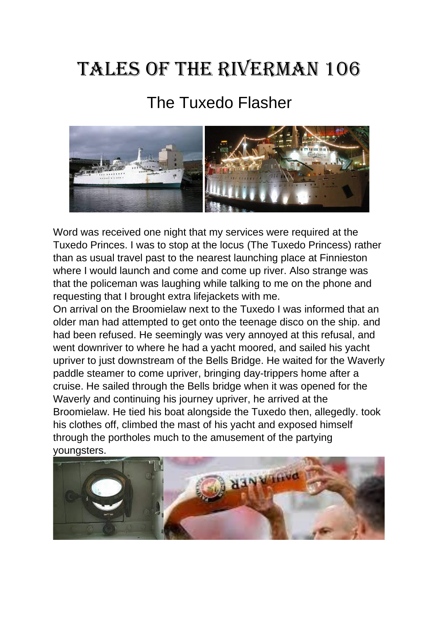## Tales of the Riverman 106

## The Tuxedo Flasher



Word was received one night that my services were required at the Tuxedo Princes. I was to stop at the locus (The Tuxedo Princess) rather than as usual travel past to the nearest launching place at Finnieston where I would launch and come and come up river. Also strange was that the policeman was laughing while talking to me on the phone and requesting that I brought extra lifejackets with me.

On arrival on the Broomielaw next to the Tuxedo I was informed that an older man had attempted to get onto the teenage disco on the ship. and had been refused. He seemingly was very annoyed at this refusal, and went downriver to where he had a yacht moored, and sailed his yacht upriver to just downstream of the Bells Bridge. He waited for the Waverly paddle steamer to come upriver, bringing day-trippers home after a cruise. He sailed through the Bells bridge when it was opened for the Waverly and continuing his journey upriver, he arrived at the Broomielaw. He tied his boat alongside the Tuxedo then, allegedly. took his clothes off, climbed the mast of his yacht and exposed himself through the portholes much to the amusement of the partying youngsters.